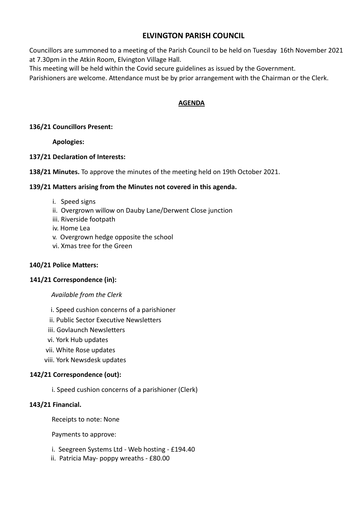# **ELVINGTON PARISH COUNCIL**

Councillors are summoned to a meeting of the Parish Council to be held on Tuesday 16th November 2021 at 7.30pm in the Atkin Room, Elvington Village Hall.

This meeting will be held within the Covid secure guidelines as issued by the Government.

Parishioners are welcome. Attendance must be by prior arrangement with the Chairman or the Clerk.

## **AGENDA**

### **136/21 Councillors Present:**

**Apologies:**

#### **137/21 Declaration of Interests:**

**138/21 Minutes.** To approve the minutes of the meeting held on 19th October 2021.

#### **139/21 Matters arising from the Minutes not covered in this agenda.**

- i. Speed signs
- ii. Overgrown willow on Dauby Lane/Derwent Close junction
- iii. Riverside footpath
- iv. Home Lea
- v. Overgrown hedge opposite the school
- vi. Xmas tree for the Green

## **140/21 Police Matters:**

## **141/21 Correspondence (in):**

#### *Available from the Clerk*

- i. Speed cushion concerns of a parishioner
- ii. Public Sector Executive Newsletters
- iii. Govlaunch Newsletters
- vi. York Hub updates
- vii. White Rose updates
- viii. York Newsdesk updates

#### **142/21 Correspondence (out):**

i. Speed cushion concerns of a parishioner (Clerk)

#### **143/21 Financial.**

Receipts to note: None

Payments to approve:

- i. Seegreen Systems Ltd Web hosting £194.40
- ii. Patricia May- poppy wreaths £80.00